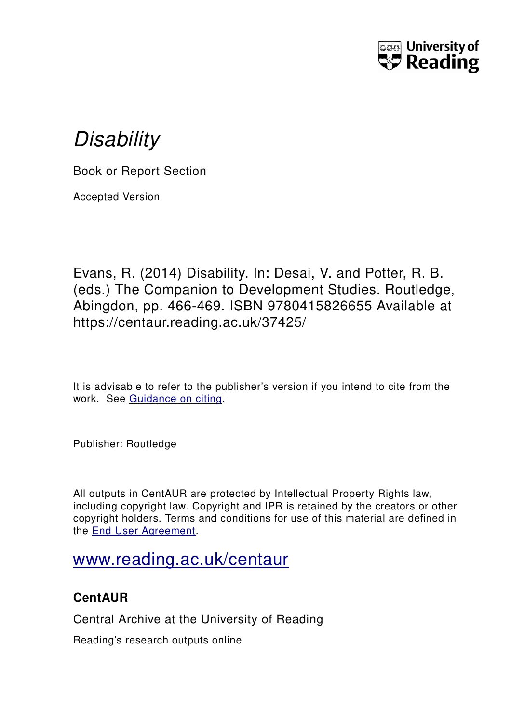

*Disability* 

Book or Report Section

Accepted Version

Evans, R. (2014) Disability. In: Desai, V. and Potter, R. B. (eds.) The Companion to Development Studies. Routledge, Abingdon, pp. 466-469. ISBN 9780415826655 Available at https://centaur.reading.ac.uk/37425/

It is advisable to refer to the publisher's version if you intend to cite from the work. See [Guidance on citing.](http://centaur.reading.ac.uk/71187/10/CentAUR%20citing%20guide.pdf)

Publisher: Routledge

All outputs in CentAUR are protected by Intellectual Property Rights law, including copyright law. Copyright and IPR is retained by the creators or other copyright holders. Terms and conditions for use of this material are defined in the [End User Agreement.](http://centaur.reading.ac.uk/licence)

# [www.reading.ac.uk/centaur](http://www.reading.ac.uk/centaur)

# **CentAUR**

Central Archive at the University of Reading

Reading's research outputs online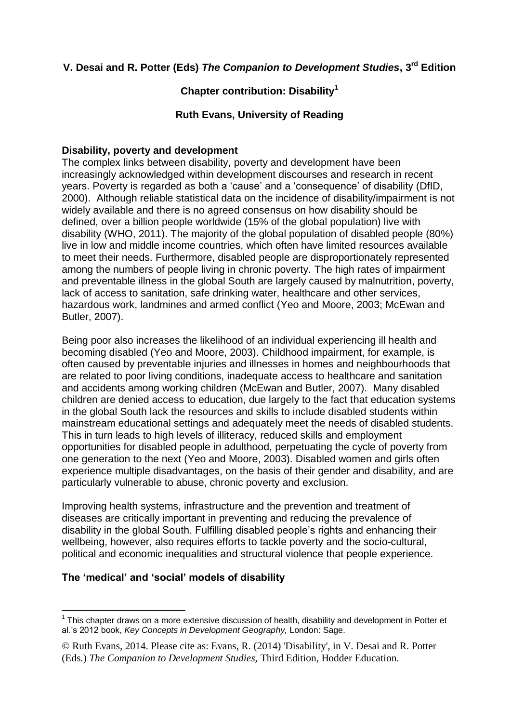# **V. Desai and R. Potter (Eds)** *The Companion to Development Studies***, 3rd Edition**

# **Chapter contribution: Disability<sup>1</sup>**

# **Ruth Evans, University of Reading**

#### **Disability, poverty and development**

The complex links between disability, poverty and development have been increasingly acknowledged within development discourses and research in recent years. Poverty is regarded as both a 'cause' and a 'consequence' of disability (DfID, 2000). Although reliable statistical data on the incidence of disability/impairment is not widely available and there is no agreed consensus on how disability should be defined, over a billion people worldwide (15% of the global population) live with disability (WHO, 2011). The majority of the global population of disabled people (80%) live in low and middle income countries, which often have limited resources available to meet their needs. Furthermore, disabled people are disproportionately represented among the numbers of people living in chronic poverty. The high rates of impairment and preventable illness in the global South are largely caused by malnutrition, poverty, lack of access to sanitation, safe drinking water, healthcare and other services, hazardous work, landmines and armed conflict (Yeo and Moore, 2003; McEwan and Butler, 2007).

Being poor also increases the likelihood of an individual experiencing ill health and becoming disabled (Yeo and Moore, 2003). Childhood impairment, for example, is often caused by preventable injuries and illnesses in homes and neighbourhoods that are related to poor living conditions, inadequate access to healthcare and sanitation and accidents among working children (McEwan and Butler, 2007). Many disabled children are denied access to education, due largely to the fact that education systems in the global South lack the resources and skills to include disabled students within mainstream educational settings and adequately meet the needs of disabled students. This in turn leads to high levels of illiteracy, reduced skills and employment opportunities for disabled people in adulthood, perpetuating the cycle of poverty from one generation to the next (Yeo and Moore, 2003). Disabled women and girls often experience multiple disadvantages, on the basis of their gender and disability, and are particularly vulnerable to abuse, chronic poverty and exclusion.

Improving health systems, infrastructure and the prevention and treatment of diseases are critically important in preventing and reducing the prevalence of disability in the global South. Fulfilling disabled people's rights and enhancing their wellbeing, however, also requires efforts to tackle poverty and the socio-cultural, political and economic inequalities and structural violence that people experience.

# **The 'medical' and 'social' models of disability**

<u>.</u>

 $1$  This chapter draws on a more extensive discussion of health, disability and development in Potter et al.'s 2012 book, *Key Concepts in Development Geography,* London: Sage.

<sup>©</sup> Ruth Evans, 2014. Please cite as: Evans, R. (2014) 'Disability', in V. Desai and R. Potter (Eds.) *The Companion to Development Studies,* Third Edition, Hodder Education.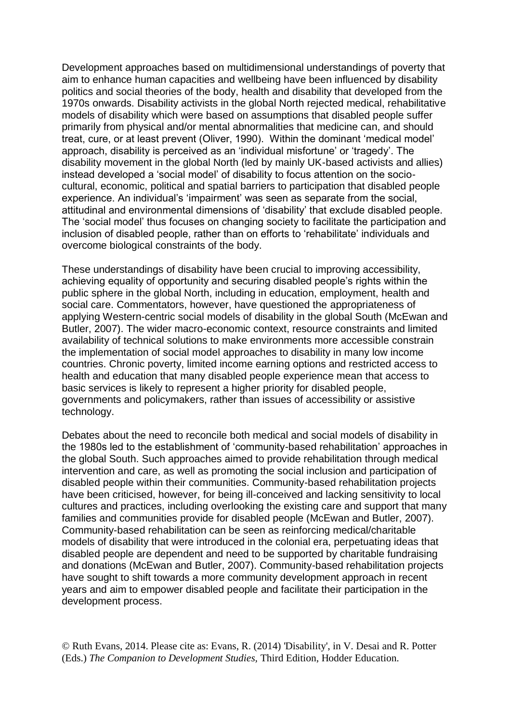Development approaches based on multidimensional understandings of poverty that aim to enhance human capacities and wellbeing have been influenced by disability politics and social theories of the body, health and disability that developed from the 1970s onwards. Disability activists in the global North rejected medical, rehabilitative models of disability which were based on assumptions that disabled people suffer primarily from physical and/or mental abnormalities that medicine can, and should treat, cure, or at least prevent (Oliver, 1990). Within the dominant 'medical model' approach, disability is perceived as an 'individual misfortune' or 'tragedy'. The disability movement in the global North (led by mainly UK-based activists and allies) instead developed a 'social model' of disability to focus attention on the sociocultural, economic, political and spatial barriers to participation that disabled people experience. An individual's 'impairment' was seen as separate from the social, attitudinal and environmental dimensions of 'disability' that exclude disabled people. The 'social model' thus focuses on changing society to facilitate the participation and inclusion of disabled people, rather than on efforts to 'rehabilitate' individuals and overcome biological constraints of the body.

These understandings of disability have been crucial to improving accessibility, achieving equality of opportunity and securing disabled people's rights within the public sphere in the global North, including in education, employment, health and social care. Commentators, however, have questioned the appropriateness of applying Western-centric social models of disability in the global South (McEwan and Butler, 2007). The wider macro-economic context, resource constraints and limited availability of technical solutions to make environments more accessible constrain the implementation of social model approaches to disability in many low income countries. Chronic poverty, limited income earning options and restricted access to health and education that many disabled people experience mean that access to basic services is likely to represent a higher priority for disabled people, governments and policymakers, rather than issues of accessibility or assistive technology.

Debates about the need to reconcile both medical and social models of disability in the 1980s led to the establishment of 'community-based rehabilitation' approaches in the global South. Such approaches aimed to provide rehabilitation through medical intervention and care, as well as promoting the social inclusion and participation of disabled people within their communities. Community-based rehabilitation projects have been criticised, however, for being ill-conceived and lacking sensitivity to local cultures and practices, including overlooking the existing care and support that many families and communities provide for disabled people (McEwan and Butler, 2007). Community-based rehabilitation can be seen as reinforcing medical/charitable models of disability that were introduced in the colonial era, perpetuating ideas that disabled people are dependent and need to be supported by charitable fundraising and donations (McEwan and Butler, 2007). Community-based rehabilitation projects have sought to shift towards a more community development approach in recent years and aim to empower disabled people and facilitate their participation in the development process.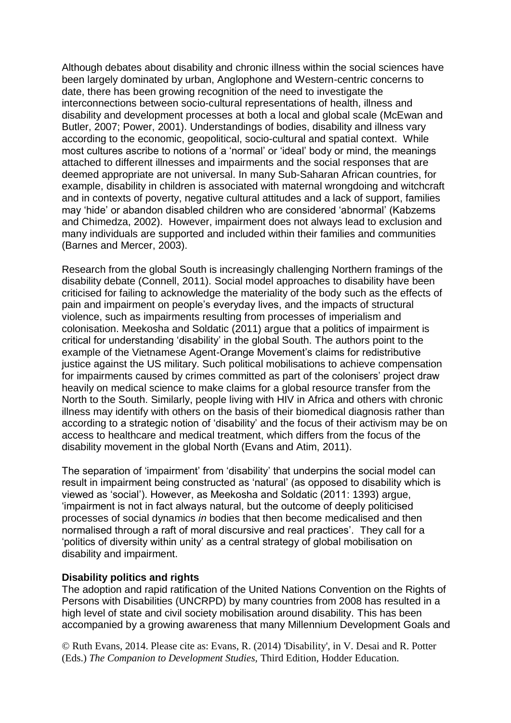Although debates about disability and chronic illness within the social sciences have been largely dominated by urban, Anglophone and Western-centric concerns to date, there has been growing recognition of the need to investigate the interconnections between socio-cultural representations of health, illness and disability and development processes at both a local and global scale (McEwan and Butler, 2007; Power, 2001). Understandings of bodies, disability and illness vary according to the economic, geopolitical, socio-cultural and spatial context. While most cultures ascribe to notions of a 'normal' or 'ideal' body or mind, the meanings attached to different illnesses and impairments and the social responses that are deemed appropriate are not universal. In many Sub-Saharan African countries, for example, disability in children is associated with maternal wrongdoing and witchcraft and in contexts of poverty, negative cultural attitudes and a lack of support, families may 'hide' or abandon disabled children who are considered 'abnormal' (Kabzems and Chimedza, 2002). However, impairment does not always lead to exclusion and many individuals are supported and included within their families and communities (Barnes and Mercer, 2003).

Research from the global South is increasingly challenging Northern framings of the disability debate (Connell, 2011). Social model approaches to disability have been criticised for failing to acknowledge the materiality of the body such as the effects of pain and impairment on people's everyday lives, and the impacts of structural violence, such as impairments resulting from processes of imperialism and colonisation. Meekosha and Soldatic (2011) argue that a politics of impairment is critical for understanding 'disability' in the global South. The authors point to the example of the Vietnamese Agent-Orange Movement's claims for redistributive justice against the US military. Such political mobilisations to achieve compensation for impairments caused by crimes committed as part of the colonisers' project draw heavily on medical science to make claims for a global resource transfer from the North to the South. Similarly, people living with HIV in Africa and others with chronic illness may identify with others on the basis of their biomedical diagnosis rather than according to a strategic notion of 'disability' and the focus of their activism may be on access to healthcare and medical treatment, which differs from the focus of the disability movement in the global North (Evans and Atim, 2011).

The separation of 'impairment' from 'disability' that underpins the social model can result in impairment being constructed as 'natural' (as opposed to disability which is viewed as 'social'). However, as Meekosha and Soldatic (2011: 1393) argue, 'impairment is not in fact always natural, but the outcome of deeply politicised processes of social dynamics *in* bodies that then become medicalised and then normalised through a raft of moral discursive and real practices'. They call for a 'politics of diversity within unity' as a central strategy of global mobilisation on disability and impairment.

# **Disability politics and rights**

The adoption and rapid ratification of the United Nations Convention on the Rights of Persons with Disabilities (UNCRPD) by many countries from 2008 has resulted in a high level of state and civil society mobilisation around disability. This has been accompanied by a growing awareness that many Millennium Development Goals and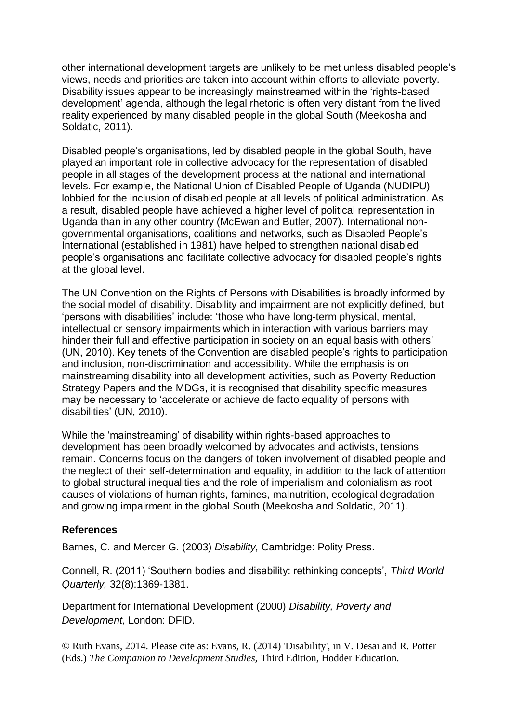other international development targets are unlikely to be met unless disabled people's views, needs and priorities are taken into account within efforts to alleviate poverty. Disability issues appear to be increasingly mainstreamed within the 'rights-based development' agenda, although the legal rhetoric is often very distant from the lived reality experienced by many disabled people in the global South (Meekosha and Soldatic, 2011).

Disabled people's organisations, led by disabled people in the global South, have played an important role in collective advocacy for the representation of disabled people in all stages of the development process at the national and international levels. For example, the National Union of Disabled People of Uganda (NUDIPU) lobbied for the inclusion of disabled people at all levels of political administration. As a result, disabled people have achieved a higher level of political representation in Uganda than in any other country (McEwan and Butler, 2007). International nongovernmental organisations, coalitions and networks, such as Disabled People's International (established in 1981) have helped to strengthen national disabled people's organisations and facilitate collective advocacy for disabled people's rights at the global level.

The UN Convention on the Rights of Persons with Disabilities is broadly informed by the social model of disability. Disability and impairment are not explicitly defined, but 'persons with disabilities' include: 'those who have long-term physical, mental, intellectual or sensory impairments which in interaction with various barriers may hinder their full and effective participation in society on an equal basis with others' (UN, 2010). Key tenets of the Convention are disabled people's rights to participation and inclusion, non-discrimination and accessibility. While the emphasis is on mainstreaming disability into all development activities, such as Poverty Reduction Strategy Papers and the MDGs, it is recognised that disability specific measures may be necessary to 'accelerate or achieve de facto equality of persons with disabilities' (UN, 2010).

While the 'mainstreaming' of disability within rights-based approaches to development has been broadly welcomed by advocates and activists, tensions remain. Concerns focus on the dangers of token involvement of disabled people and the neglect of their self-determination and equality, in addition to the lack of attention to global structural inequalities and the role of imperialism and colonialism as root causes of violations of human rights, famines, malnutrition, ecological degradation and growing impairment in the global South (Meekosha and Soldatic, 2011).

# **References**

Barnes, C. and Mercer G. (2003) *Disability,* Cambridge: Polity Press.

Connell, R. (2011) 'Southern bodies and disability: rethinking concepts', *Third World Quarterly,* 32(8):1369-1381.

Department for International Development (2000) *Disability, Poverty and Development,* London: DFID.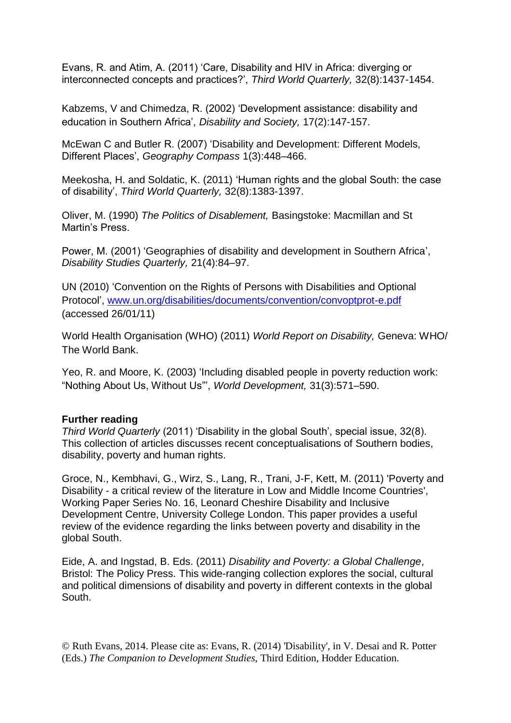Evans, R. and Atim, A. (2011) 'Care, Disability and HIV in Africa: diverging or interconnected concepts and practices?', *Third World Quarterly,* 32(8):1437-1454.

Kabzems, V and Chimedza, R. (2002) 'Development assistance: disability and education in Southern Africa', *Disability and Society,* 17(2):147-157.

McEwan C and Butler R. (2007) 'Disability and Development: Different Models, Different Places', *Geography Compass* 1(3):448–466.

Meekosha, H. and Soldatic, K. (2011) 'Human rights and the global South: the case of disability', *Third World Quarterly,* 32(8):1383-1397.

Oliver, M. (1990) *The Politics of Disablement,* Basingstoke: Macmillan and St Martin's Press.

Power, M. (2001) 'Geographies of disability and development in Southern Africa', *Disability Studies Quarterly,* 21(4):84–97.

UN (2010) 'Convention on the Rights of Persons with Disabilities and Optional Protocol', [www.un.org/disabilities/documents/convention/convoptprot-e.pdf](http://www.un.org/disabilities/documents/convention/convoptprot-e.pdf) (accessed 26/01/11)

World Health Organisation (WHO) (2011) *World Report on Disability,* Geneva: WHO/ The World Bank.

Yeo, R. and Moore, K. (2003) 'Including disabled people in poverty reduction work: "Nothing About Us, Without Us"', *World Development,* 31(3):571–590.

#### **Further reading**

*Third World Quarterly* (2011) 'Disability in the global South', special issue, 32(8). This collection of articles discusses recent conceptualisations of Southern bodies, disability, poverty and human rights.

Groce, N., Kembhavi, G., Wirz, S., Lang, R., Trani, J-F, Kett, M. (2011) 'Poverty and Disability - a critical review of the literature in Low and Middle Income Countries', Working Paper Series No. 16, Leonard Cheshire Disability and Inclusive Development Centre, University College London. This paper provides a useful review of the evidence regarding the links between poverty and disability in the global South.

Eide, A. and Ingstad, B. Eds. (2011) *Disability and Poverty: a Global Challenge*, Bristol: The Policy Press. This wide-ranging collection explores the social, cultural and political dimensions of disability and poverty in different contexts in the global South.